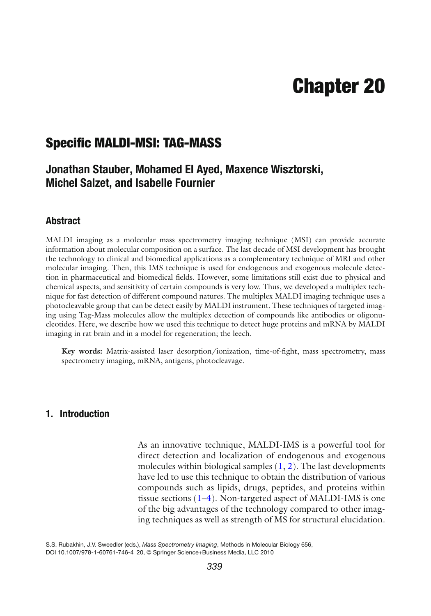# **Chapter 20**

# **Specific MALDI-MSI: TAG-MASS**

# **Jonathan Stauber, Mohamed El Ayed, Maxence Wisztorski, Michel Salzet, and Isabelle Fournier**

## **Abstract**

MALDI imaging as a molecular mass spectrometry imaging technique (MSI) can provide accurate information about molecular composition on a surface. The last decade of MSI development has brought the technology to clinical and biomedical applications as a complementary technique of MRI and other molecular imaging. Then, this IMS technique is used for endogenous and exogenous molecule detection in pharmaceutical and biomedical fields. However, some limitations still exist due to physical and chemical aspects, and sensitivity of certain compounds is very low. Thus, we developed a multiplex technique for fast detection of different compound natures. The multiplex MALDI imaging technique uses a photocleavable group that can be detect easily by MALDI instrument. These techniques of targeted imaging using Tag-Mass molecules allow the multiplex detection of compounds like antibodies or oligonucleotides. Here, we describe how we used this technique to detect huge proteins and mRNA by MALDI imaging in rat brain and in a model for regeneration; the leech.

**Key words:** Matrix-assisted laser desorption/ionization, time-of-fight, mass spectrometry, mass spectrometry imaging, mRNA, antigens, photocleavage.

# **1. Introduction**

As an innovative technique, MALDI-IMS is a powerful tool for direct detection and localization of endogenous and exogenous molecules within biological samples  $(1, 2)$  $(1, 2)$  $(1, 2)$ . The last developments have led to use this technique to obtain the distribution of various compounds such as lipids, drugs, peptides, and proteins within tissue sections  $(1-4)$  $(1-4)$ . Non-targeted aspect of MALDI-IMS is one of the big advantages of the technology compared to other imaging techniques as well as strength of MS for structural elucidation.

S.S. Rubakhin, J.V. Sweedler (eds.), *Mass Spectrometry Imaging*, Methods in Molecular Biology 656, DOI 10.1007/978-1-60761-746-4\_20, © Springer Science+Business Media, LLC 2010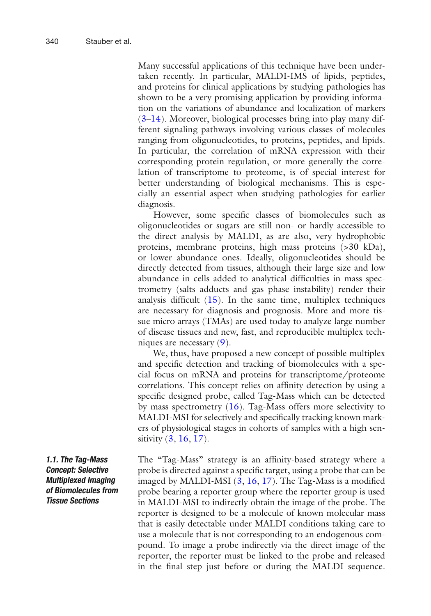Many successful applications of this technique have been undertaken recently. In particular, MALDI-IMS of lipids, peptides, and proteins for clinical applications by studying pathologies has shown to be a very promising application by providing information on the variations of abundance and localization of markers  $(3-14)$  $(3-14)$ . Moreover, biological processes bring into play many different signaling pathways involving various classes of molecules ranging from oligonucleotides, to proteins, peptides, and lipids. In particular, the correlation of mRNA expression with their corresponding protein regulation, or more generally the correlation of transcriptome to proteome, is of special interest for better understanding of biological mechanisms. This is especially an essential aspect when studying pathologies for earlier diagnosis.

However, some specific classes of biomolecules such as oligonucleotides or sugars are still non- or hardly accessible to the direct analysis by MALDI, as are also, very hydrophobic proteins, membrane proteins, high mass proteins (>30 kDa), or lower abundance ones. Ideally, oligonucleotides should be directly detected from tissues, although their large size and low abundance in cells added to analytical difficulties in mass spectrometry (salts adducts and gas phase instability) render their analysis difficult  $(15)$ . In the same time, multiplex techniques are necessary for diagnosis and prognosis. More and more tissue micro arrays (TMAs) are used today to analyze large number of disease tissues and new, fast, and reproducible multiplex techniques are necessary  $(9)$ .

We, thus, have proposed a new concept of possible multiplex and specific detection and tracking of biomolecules with a special focus on mRNA and proteins for transcriptome/proteome correlations. This concept relies on affinity detection by using a specific designed probe, called Tag-Mass which can be detected by mass spectrometry [\(16\)](#page-22-2). Tag-Mass offers more selectivity to MALDI-MSI for selectively and specifically tracking known markers of physiological stages in cohorts of samples with a high sensitivity  $(3, 16, 17)$  $(3, 16, 17)$  $(3, 16, 17)$  $(3, 16, 17)$  $(3, 16, 17)$ .

The "Tag-Mass" strategy is an affinity-based strategy where a probe is directed against a specific target, using a probe that can be imaged by MALDI-MSI  $(3, 16, 17)$  $(3, 16, 17)$  $(3, 16, 17)$  $(3, 16, 17)$  $(3, 16, 17)$ . The Tag-Mass is a modified probe bearing a reporter group where the reporter group is used in MALDI-MSI to indirectly obtain the image of the probe. The reporter is designed to be a molecule of known molecular mass that is easily detectable under MALDI conditions taking care to use a molecule that is not corresponding to an endogenous compound. To image a probe indirectly via the direct image of the reporter, the reporter must be linked to the probe and released in the final step just before or during the MALDI sequence.

**1.1. The Tag-Mass Concept: Selective Multiplexed Imaging of Biomolecules from Tissue Sections**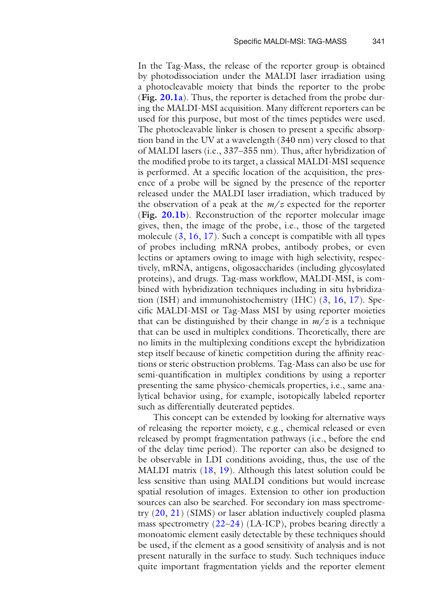In the Tag-Mass, the release of the reporter group is obtained by photodissociation under the MALDI laser irradiation using a photocleavable moiety that binds the reporter to the probe (**Fig. [20.1a](#page-3-0)**). Thus, the reporter is detached from the probe during the MALDI-MSI acquisition. Many different reporters can be used for this purpose, but most of the times peptides were used. The photocleavable linker is chosen to present a specific absorption band in the UV at a wavelength (340 nm) very closed to that of MALDI lasers (i.e., 337–355 nm). Thus, after hybridization of the modified probe to its target, a classical MALDI-MSI sequence is performed. At a specific location of the acquisition, the presence of a probe will be signed by the presence of the reporter released under the MALDI laser irradiation, which traduced by the observation of a peak at the *m*/*z* expected for the reporter (**Fig. [20.1b](#page-3-0)**). Reconstruction of the reporter molecular image gives, then, the image of the probe, i.e., those of the targeted molecule  $(3, 16, 17)$  $(3, 16, 17)$  $(3, 16, 17)$  $(3, 16, 17)$  $(3, 16, 17)$ . Such a concept is compatible with all types of probes including mRNA probes, antibody probes, or even lectins or aptamers owing to image with high selectivity, respectively, mRNA, antigens, oligosaccharides (including glycosylated proteins), and drugs. Tag-mass workflow, MALDI-MSI, is combined with hybridization techniques including in situ hybridization (ISH) and immunohistochemistry (IHC) [\(3,](#page-21-3) [16,](#page-22-2) [17\)](#page-22-3). Specific MALDI-MSI or Tag-Mass MSI by using reporter moieties that can be distinguished by their change in  $m/z$  is a technique that can be used in multiplex conditions. Theoretically, there are no limits in the multiplexing conditions except the hybridization step itself because of kinetic competition during the affinity reactions or steric obstruction problems. Tag-Mass can also be use for semi-quantification in multiplex conditions by using a reporter presenting the same physico-chemicals properties, i.e., same analytical behavior using, for example, isotopically labeled reporter such as differentially deuterated peptides.

This concept can be extended by looking for alternative ways of releasing the reporter moiety, e.g., chemical released or even released by prompt fragmentation pathways (i.e., before the end of the delay time period). The reporter can also be designed to be observable in LDI conditions avoiding, thus, the use of the MALDI matrix [\(18,](#page-22-4) [19\)](#page-22-5). Although this latest solution could be less sensitive than using MALDI conditions but would increase spatial resolution of images. Extension to other ion production sources can also be searched. For secondary ion mass spectrometry  $(20, 21)$  $(20, 21)$  $(20, 21)$  (SIMS) or laser ablation inductively coupled plasma mass spectrometry  $(22-24)$  $(22-24)$  (LA-ICP), probes bearing directly a monoatomic element easily detectable by these techniques should be used, if the element as a good sensitivity of analysis and is not present naturally in the surface to study. Such techniques induce quite important fragmentation yields and the reporter element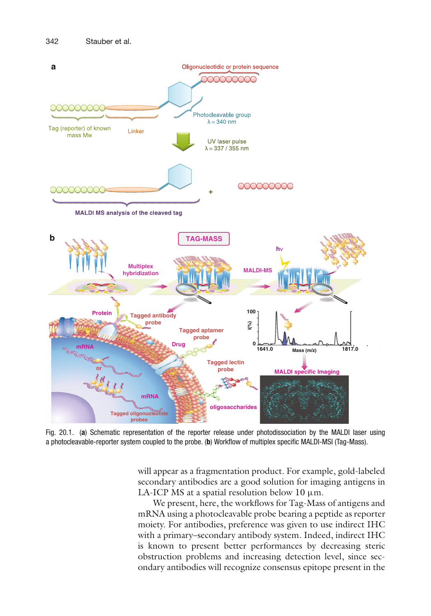<span id="page-3-0"></span>

Fig. 20.1. (**a**) Schematic representation of the reporter release under photodissociation by the MALDI laser using a photocleavable-reporter system coupled to the probe. (**b**) Workflow of multiplex specific MALDI-MSI (Tag-Mass).

will appear as a fragmentation product. For example, gold-labeled secondary antibodies are a good solution for imaging antigens in LA-ICP MS at a spatial resolution below 10 μm.

We present, here, the workflows for Tag-Mass of antigens and mRNA using a photocleavable probe bearing a peptide as reporter moiety. For antibodies, preference was given to use indirect IHC with a primary–secondary antibody system. Indeed, indirect IHC is known to present better performances by decreasing steric obstruction problems and increasing detection level, since secondary antibodies will recognize consensus epitope present in the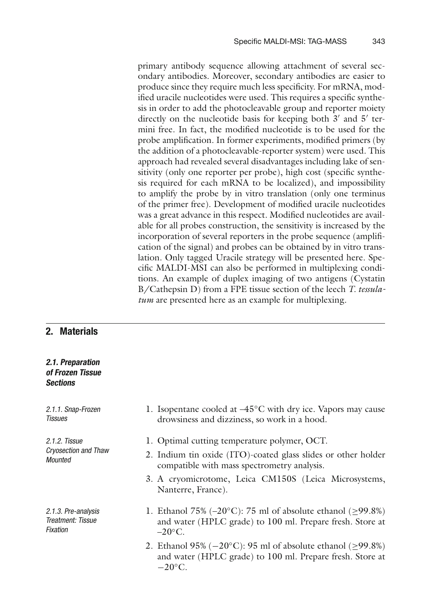primary antibody sequence allowing attachment of several secondary antibodies. Moreover, secondary antibodies are easier to produce since they require much less specificity. For mRNA, modified uracile nucleotides were used. This requires a specific synthesis in order to add the photocleavable group and reporter moiety directly on the nucleotide basis for keeping both  $3'$  and  $5'$  termini free. In fact, the modified nucleotide is to be used for the probe amplification. In former experiments, modified primers (by the addition of a photocleavable-reporter system) were used. This approach had revealed several disadvantages including lake of sensitivity (only one reporter per probe), high cost (specific synthesis required for each mRNA to be localized), and impossibility to amplify the probe by in vitro translation (only one terminus of the primer free). Development of modified uracile nucleotides was a great advance in this respect. Modified nucleotides are available for all probes construction, the sensitivity is increased by the incorporation of several reporters in the probe sequence (amplification of the signal) and probes can be obtained by in vitro translation. Only tagged Uracile strategy will be presented here. Specific MALDI-MSI can also be performed in multiplexing conditions. An example of duplex imaging of two antigens (Cystatin B/Cathepsin D) from a FPE tissue section of the leech *T. tessulatum* are presented here as an example for multiplexing.

## **2. Materials**

**2.1. Preparation of Frozen Tissue Sections**

2.1.1. Snap-Frozen Tissues

2.1.2. Tissue Cryosection and Thaw **Mounted** 

2.1.3. Pre-analysis Treatment: Tissue Fixation

- 1. Isopentane cooled at –45◦C with dry ice. Vapors may cause drowsiness and dizziness, so work in a hood.
- 1. Optimal cutting temperature polymer, OCT.
- 2. Indium tin oxide (ITO)-coated glass slides or other holder compatible with mass spectrometry analysis.
- 3. A cryomicrotome, Leica CM150S (Leica Microsystems, Nanterre, France).
- 1. Ethanol 75%  $(-20^{\circ}C)$ : 75 ml of absolute ethanol  $(≥99.8%)$ and water (HPLC grade) to 100 ml. Prepare fresh. Store at  $-20^{\circ}$ C.
- 2. Ethanol 95% (−20◦C): 95 ml of absolute ethanol (≥99.8%) and water (HPLC grade) to 100 ml. Prepare fresh. Store at  $-20^\circ C$ .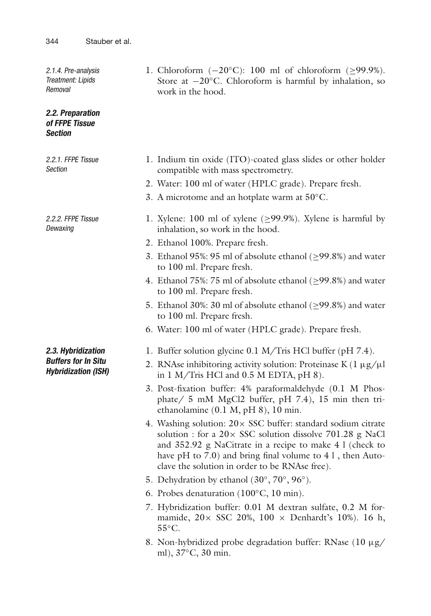344 Stauber et al.

| 2.1.4. Pre-analysis<br>Treatment: Lipids<br>Removal      | 1. Chloroform $(-20^{\circ}C)$ : 100 ml of chloroform $(\geq 99.9\%)$ .<br>Store at $-20^{\circ}$ C. Chloroform is harmful by inhalation, so<br>work in the hood.                                                                                                                                                |
|----------------------------------------------------------|------------------------------------------------------------------------------------------------------------------------------------------------------------------------------------------------------------------------------------------------------------------------------------------------------------------|
| 2.2. Preparation<br>of FFPE Tissue<br><b>Section</b>     |                                                                                                                                                                                                                                                                                                                  |
| 2.2.1. FFPE Tissue<br>Section                            | 1. Indium tin oxide (ITO)-coated glass slides or other holder<br>compatible with mass spectrometry.                                                                                                                                                                                                              |
|                                                          | 2. Water: 100 ml of water (HPLC grade). Prepare fresh.                                                                                                                                                                                                                                                           |
|                                                          | 3. A microtome and an hotplate warm at $50^{\circ}$ C.                                                                                                                                                                                                                                                           |
| 2.2.2. FFPE Tissue<br>Dewaxing                           | 1. Xylene: 100 ml of xylene ( $\geq$ 99.9%). Xylene is harmful by<br>inhalation, so work in the hood.                                                                                                                                                                                                            |
|                                                          | 2. Ethanol 100%. Prepare fresh.                                                                                                                                                                                                                                                                                  |
|                                                          | 3. Ethanol 95%: 95 ml of absolute ethanol ( $\geq$ 99.8%) and water<br>to 100 ml. Prepare fresh.                                                                                                                                                                                                                 |
|                                                          | 4. Ethanol 75%: 75 ml of absolute ethanol ( $\geq$ 99.8%) and water<br>to 100 ml. Prepare fresh.                                                                                                                                                                                                                 |
|                                                          | 5. Ethanol 30%: 30 ml of absolute ethanol ( $\geq$ 99.8%) and water<br>to 100 ml. Prepare fresh.                                                                                                                                                                                                                 |
|                                                          | 6. Water: 100 ml of water (HPLC grade). Prepare fresh.                                                                                                                                                                                                                                                           |
| 2.3. Hybridization                                       | 1. Buffer solution glycine 0.1 M/Tris HCl buffer (pH 7.4).                                                                                                                                                                                                                                                       |
| <b>Buffers for In Situ</b><br><b>Hybridization (ISH)</b> | 2. RNAse inhibitoring activity solution: Proteinase K $(1 \mu g/\mu l)$<br>in 1 M/Tris HCl and 0.5 M EDTA, pH 8).                                                                                                                                                                                                |
|                                                          | 3. Post-fixation buffer: 4% paraformaldehyde (0.1 M Phos-<br>phate/ 5 mM MgCl2 buffer, pH 7.4), 15 min then tri-<br>ethanolamine (0.1 M, pH 8), 10 min.                                                                                                                                                          |
|                                                          | 4. Washing solution: 20x SSC buffer: standard sodium citrate<br>solution : for a $20 \times$ SSC solution dissolve 701.28 g NaCl<br>and 352.92 g NaCitrate in a recipe to make 4 l (check to<br>have pH to $7.0$ ) and bring final volume to $41$ , then Auto-<br>clave the solution in order to be RNAse free). |
|                                                          | 5. Dehydration by ethanol (30°, 70°, 96°).                                                                                                                                                                                                                                                                       |
|                                                          | 6. Probes denaturation $(100^{\circ}C, 10 \text{ min}).$                                                                                                                                                                                                                                                         |
|                                                          | 7. Hybridization buffer: 0.01 M dextran sulfate, 0.2 M for-<br>mamide, $20 \times$ SSC 20%, 100 $\times$ Denhardt's 10%). 16 h,<br>$55^{\circ}$ C.                                                                                                                                                               |
|                                                          | 8. Non-hybridized probe degradation buffer: RNase (10 $\mu$ g/<br>ml), $37^{\circ}$ C, 30 min.                                                                                                                                                                                                                   |
|                                                          |                                                                                                                                                                                                                                                                                                                  |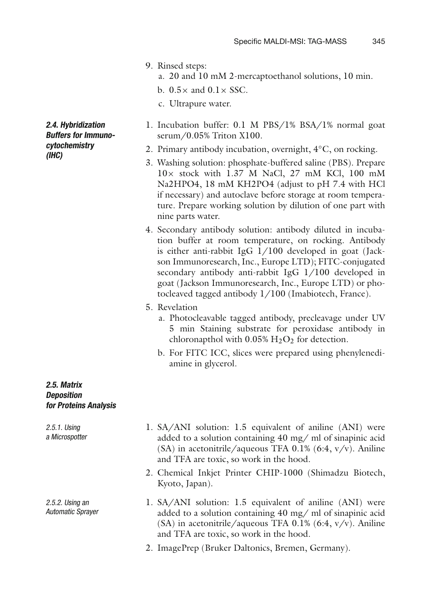- 9. Rinsed steps:
	- a. 20 and 10 mM 2-mercaptoethanol solutions, 10 min.
	- b.  $0.5 \times$  and  $0.1 \times$  SSC.
	- c. Ultrapure water.
- 1. Incubation buffer: 0.1 M PBS/1% BSA/1% normal goat serum/0.05% Triton X100.
- 2. Primary antibody incubation, overnight, 4◦C, on rocking.
- 3. Washing solution: phosphate-buffered saline (PBS). Prepare 10× stock with 1.37 M NaCl, 27 mM KCl, 100 mM Na2HPO4, 18 mM KH2PO4 (adjust to pH 7.4 with HCl if necessary) and autoclave before storage at room temperature. Prepare working solution by dilution of one part with nine parts water.
- 4. Secondary antibody solution: antibody diluted in incubation buffer at room temperature, on rocking. Antibody is either anti-rabbit IgG 1/100 developed in goat (Jackson Immunoresearch, Inc., Europe LTD); FITC-conjugated secondary antibody anti-rabbit IgG 1/100 developed in goat (Jackson Immunoresearch, Inc., Europe LTD) or photocleaved tagged antibody 1/100 (Imabiotech, France).
- 5. Revelation
	- a. Photocleavable tagged antibody, precleavage under UV 5 min Staining substrate for peroxidase antibody in chloronapthol with  $0.05\%$  H<sub>2</sub>O<sub>2</sub> for detection.
	- b. For FITC ICC, slices were prepared using phenylenediamine in glycerol.

#### **2.5. Matrix Deposition for Proteins Analysis**

2.5.1. Using <sup>a</sup> Microspotter

2.5.2. Using an Automatic Sprayer

- 1. SA/ANI solution: 1.5 equivalent of aniline (ANI) were added to a solution containing 40 mg/ ml of sinapinic acid (SA) in acetonitrile/aqueous TFA 0.1% (6:4, v/v). Aniline and TFA are toxic, so work in the hood.
- 2. Chemical Inkjet Printer CHIP-1000 (Shimadzu Biotech, Kyoto, Japan).
- 1. SA/ANI solution: 1.5 equivalent of aniline (ANI) were added to a solution containing 40 mg/ ml of sinapinic acid (SA) in acetonitrile/aqueous TFA 0.1% (6:4, v/v). Aniline and TFA are toxic, so work in the hood.
	- 2. ImagePrep (Bruker Daltonics, Bremen, Germany).

**2.4. Hybridization Buffers for Immunocytochemistry (IHC)**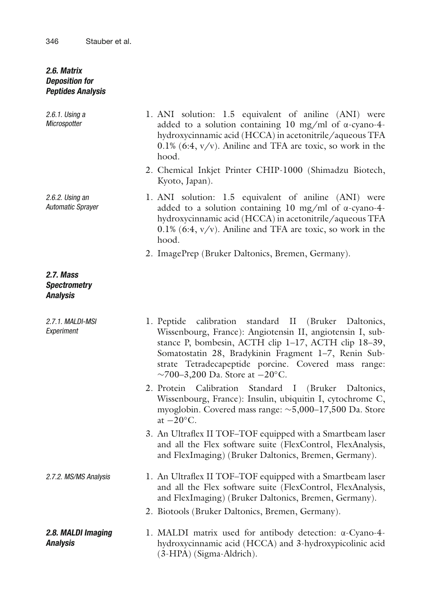## **2.6. Matrix Deposition for Peptides Analysis**

| 2.6.1. Using a<br>Microspotter                      | 1. ANI solution: 1.5 equivalent of aniline (ANI) were<br>added to a solution containing 10 mg/ml of $\alpha$ -cyano-4-<br>hydroxycinnamic acid (HCCA) in acetonitrile/aqueous TFA<br>$0.1\%$ (6:4, v/v). Aniline and TFA are toxic, so work in the<br>hood.<br>2. Chemical Inkjet Printer CHIP-1000 (Shimadzu Biotech,<br>Kyoto, Japan). |
|-----------------------------------------------------|------------------------------------------------------------------------------------------------------------------------------------------------------------------------------------------------------------------------------------------------------------------------------------------------------------------------------------------|
| $2.6.2.$ Using an<br><b>Automatic Sprayer</b>       | 1. ANI solution: 1.5 equivalent of aniline (ANI) were<br>added to a solution containing 10 mg/ml of $\alpha$ -cyano-4-<br>hydroxycinnamic acid (HCCA) in acetonitrile/aqueous TFA<br>$0.1\%$ (6:4, v/v). Aniline and TFA are toxic, so work in the<br>hood.<br>2. ImagePrep (Bruker Daltonics, Bremen, Germany).                         |
| 2.7. Mass<br><b>Spectrometry</b><br><b>Analysis</b> |                                                                                                                                                                                                                                                                                                                                          |
| 2.7.1. MALDI-MSI<br>Experiment                      | 1. Peptide calibration standard II (Bruker Daltonics,<br>Wissenbourg, France): Angiotensin II, angiotensin I, sub-<br>stance P, bombesin, ACTH clip 1-17, ACTH clip 18-39,<br>Somatostatin 28, Bradykinin Fragment 1-7, Renin Sub-<br>strate Tetradecapeptide porcine. Covered mass range:<br>~700-3,200 Da. Store at $-20^{\circ}$ C.   |
|                                                     | 2. Protein Calibration Standard I (Bruker Daltonics,<br>Wissenbourg, France): Insulin, ubiquitin I, cytochrome C,<br>myoglobin. Covered mass range: ~5,000-17,500 Da. Store<br>at $-20^{\circ}$ C.                                                                                                                                       |
|                                                     | 3. An Ultraflex II TOF-TOF equipped with a Smartbeam laser<br>and all the Flex software suite (FlexControl, FlexAnalysis,<br>and FlexImaging) (Bruker Daltonics, Bremen, Germany).                                                                                                                                                       |
| 2.7.2. MS/MS Analysis                               | 1. An Ultraflex II TOF-TOF equipped with a Smartbeam laser<br>and all the Flex software suite (FlexControl, FlexAnalysis,<br>and FlexImaging) (Bruker Daltonics, Bremen, Germany).<br>2. Biotools (Bruker Daltonics, Bremen, Germany).                                                                                                   |
| 2.8. MALDI Imaging<br><b>Analysis</b>               | 1. MALDI matrix used for antibody detection: $\alpha$ -Cyano-4-<br>hydroxycinnamic acid (HCCA) and 3-hydroxypicolinic acid<br>(3-HPA) (Sigma-Aldrich).                                                                                                                                                                                   |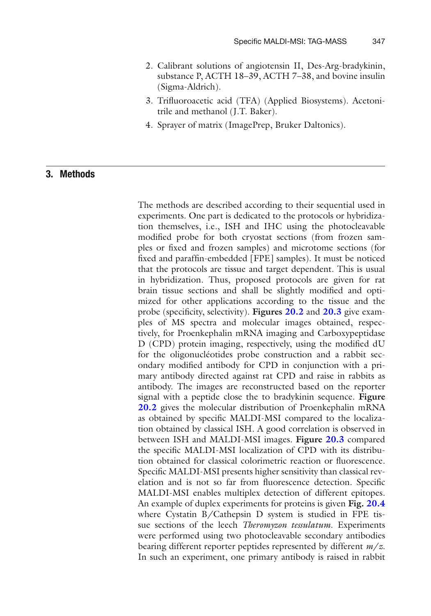- 2. Calibrant solutions of angiotensin II, Des-Arg-bradykinin, substance P, ACTH 18–39, ACTH 7–38, and bovine insulin (Sigma-Aldrich).
- 3. Trifluoroacetic acid (TFA) (Applied Biosystems). Acetonitrile and methanol (J.T. Baker).
- 4. Sprayer of matrix (ImagePrep, Bruker Daltonics).

#### **3. Methods**

The methods are described according to their sequential used in experiments. One part is dedicated to the protocols or hybridization themselves, i.e., ISH and IHC using the photocleavable modified probe for both cryostat sections (from frozen samples or fixed and frozen samples) and microtome sections (for fixed and paraffin-embedded [FPE] samples). It must be noticed that the protocols are tissue and target dependent. This is usual in hybridization. Thus, proposed protocols are given for rat brain tissue sections and shall be slightly modified and optimized for other applications according to the tissue and the probe (specificity, selectivity). **Figures [20.2](#page-9-0)** and **[20.3](#page-10-0)** give examples of MS spectra and molecular images obtained, respectively, for Proenkephalin mRNA imaging and Carboxypeptidase D (CPD) protein imaging, respectively, using the modified dU for the oligonucléotides probe construction and a rabbit secondary modified antibody for CPD in conjunction with a primary antibody directed against rat CPD and raise in rabbits as antibody. The images are reconstructed based on the reporter signal with a peptide close the to bradykinin sequence. **Figure [20.2](#page-9-0)** gives the molecular distribution of Proenkephalin mRNA as obtained by specific MALDI-MSI compared to the localization obtained by classical ISH. A good correlation is observed in between ISH and MALDI-MSI images. **Figure [20.3](#page-10-0)** compared the specific MALDI-MSI localization of CPD with its distribution obtained for classical colorimetric reaction or fluorescence. Specific MALDI-MSI presents higher sensitivity than classical revelation and is not so far from fluorescence detection. Specific MALDI-MSI enables multiplex detection of different epitopes. An example of duplex experiments for proteins is given **Fig. [20.4](#page-11-0)** where Cystatin B/Cathepsin D system is studied in FPE tissue sections of the leech *Theromyzon tessulatum*. Experiments were performed using two photocleavable secondary antibodies bearing different reporter peptides represented by different *m*/*z*. In such an experiment, one primary antibody is raised in rabbit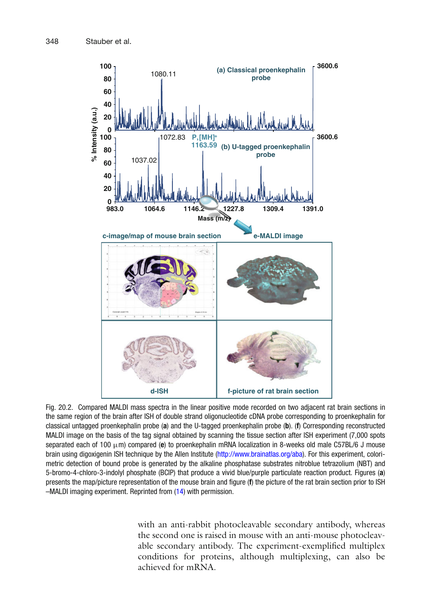

Fig. 20.2. Compared MALDI mass spectra in the linear positive mode recorded on two adjacent rat brain sections in the same region of the brain after ISH of double strand oligonucleotide cDNA probe corresponding to proenkephalin for classical untagged proenkephalin probe (**a**) and the U-tagged proenkephalin probe (**b**). (**f**) Corresponding reconstructed MALDI image on the basis of the tag signal obtained by scanning the tissue section after ISH experiment (7,000 spots separated each of 100 μm) compared (**e**) to proenkephalin mRNA localization in 8-weeks old male C57BL/6 J mouse brain using digoxigenin ISH technique by the Allen Institute (http://www.brainatlas.org/aba). For this experiment, colorimetric detection of bound probe is generated by the alkaline phosphatase substrates nitroblue tetrazolium (NBT) and 5-bromo-4-chloro-3-indolyl phosphate (BCIP) that produce a vivid blue/purple particulate reaction product. Figures (**a**) presents the map/picture representation of the mouse brain and figure (**f**) the picture of the rat brain section prior to ISH –MALDI imaging experiment. Reprinted from [\(14\)](#page-22-0) with permission.

<span id="page-9-0"></span>with an anti-rabbit photocleavable secondary antibody, whereas the second one is raised in mouse with an anti-mouse photocleavable secondary antibody. The experiment-exemplified multiplex conditions for proteins, although multiplexing, can also be achieved for mRNA.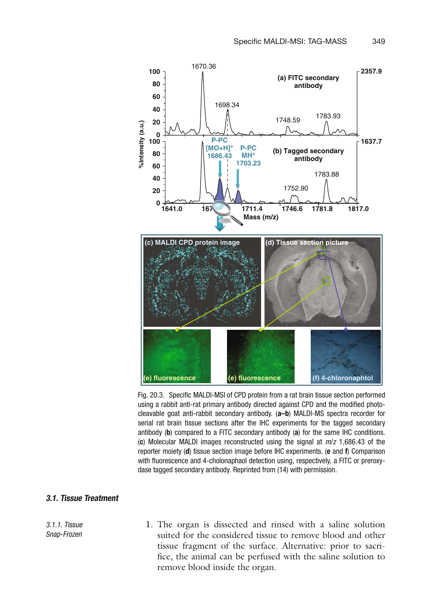

Fig. 20.3. Specific MALDI-MSI of CPD protein from a rat brain tissue section performed using a rabbit anti-rat primary antibody directed against CPD and the modified photocleavable goat anti-rabbit secondary antibody. (**a–b**) MALDI-MS spectra recorder for serial rat brain tissue sections after the IHC experiments for the tagged secondary antibody (**b**) compared to a FITC secondary antibody (**a**) for the same IHC conditions. (**c**) Molecular MALDI images reconstructed using the signal at <sup>m</sup>/<sup>z</sup> 1,686.43 of the reporter moiety (**d**) tissue section image before IHC experiments. (**e** and **f**) Comparison with fluorescence and 4-cholonaphaol detection using, respectively, a FITC or preroxydase tagged secondary antibody. Reprinted from (14) with permission.

#### **3.1. Tissue Treatment**

3.1.1. Tissue Snap-Frozen

<span id="page-10-0"></span>1. The organ is dissected and rinsed with a saline solution suited for the considered tissue to remove blood and other tissue fragment of the surface. Alternative: prior to sacrifice, the animal can be perfused with the saline solution to remove blood inside the organ.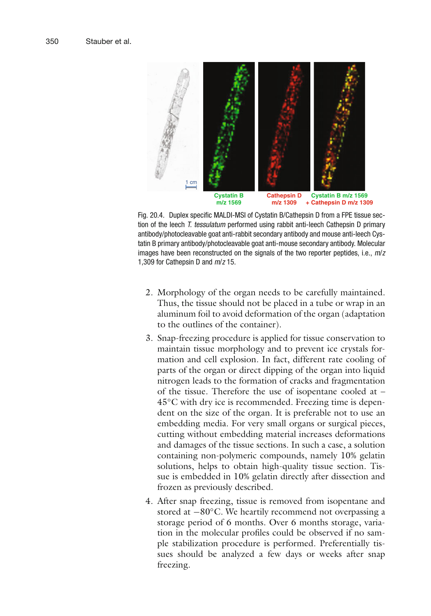

Fig. 20.4. Duplex specific MALDI-MSI of Cystatin B/Cathepsin D from a FPE tissue section of the leech T. tessulatum performed using rabbit anti-leech Cathepsin D primary antibody/photocleavable goat anti-rabbit secondary antibody and mouse anti-leech Cystatin B primary antibody/photocleavable goat anti-mouse secondary antibody. Molecular images have been reconstructed on the signals of the two reporter peptides, i.e.,  $m/z$ 1,309 for Cathepsin D and  $m/z$  15.

- <span id="page-11-0"></span>2. Morphology of the organ needs to be carefully maintained. Thus, the tissue should not be placed in a tube or wrap in an aluminum foil to avoid deformation of the organ (adaptation to the outlines of the container).
- 3. Snap-freezing procedure is applied for tissue conservation to maintain tissue morphology and to prevent ice crystals formation and cell explosion. In fact, different rate cooling of parts of the organ or direct dipping of the organ into liquid nitrogen leads to the formation of cracks and fragmentation of the tissue. Therefore the use of isopentane cooled at – 45◦C with dry ice is recommended. Freezing time is dependent on the size of the organ. It is preferable not to use an embedding media. For very small organs or surgical pieces, cutting without embedding material increases deformations and damages of the tissue sections. In such a case, a solution containing non-polymeric compounds, namely 10% gelatin solutions, helps to obtain high-quality tissue section. Tissue is embedded in 10% gelatin directly after dissection and frozen as previously described.
- 4. After snap freezing, tissue is removed from isopentane and stored at −80◦C. We heartily recommend not overpassing a storage period of 6 months. Over 6 months storage, variation in the molecular profiles could be observed if no sample stabilization procedure is performed. Preferentially tissues should be analyzed a few days or weeks after snap freezing.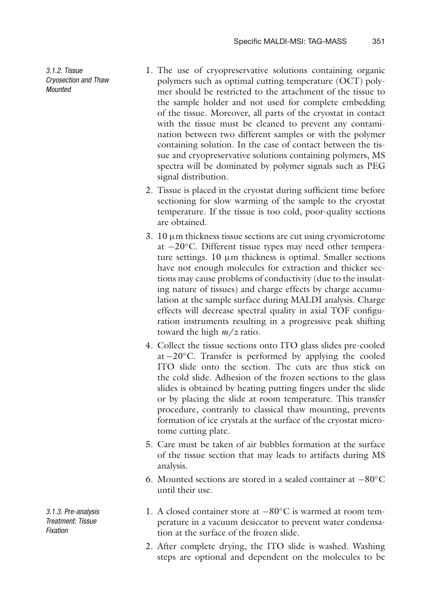3.1.2. Tissue Cryosection and Thaw **Mounted** 

- 1. The use of cryopreservative solutions containing organic polymers such as optimal cutting temperature (OCT) polymer should be restricted to the attachment of the tissue to the sample holder and not used for complete embedding of the tissue. Moreover, all parts of the cryostat in contact with the tissue must be cleaned to prevent any contamination between two different samples or with the polymer containing solution. In the case of contact between the tissue and cryopreservative solutions containing polymers, MS spectra will be dominated by polymer signals such as PEG signal distribution.
- 2. Tissue is placed in the cryostat during sufficient time before sectioning for slow warming of the sample to the cryostat temperature. If the tissue is too cold, poor-quality sections are obtained.
- 3. 10 μm thickness tissue sections are cut using cryomicrotome at −20◦C. Different tissue types may need other temperature settings. 10 μm thickness is optimal. Smaller sections have not enough molecules for extraction and thicker sections may cause problems of conductivity (due to the insulating nature of tissues) and charge effects by charge accumulation at the sample surface during MALDI analysis. Charge effects will decrease spectral quality in axial TOF configuration instruments resulting in a progressive peak shifting toward the high *m*/*z* ratio.
- 4. Collect the tissue sections onto ITO glass slides pre-cooled at −20◦C. Transfer is performed by applying the cooled ITO slide onto the section. The cuts are thus stick on the cold slide. Adhesion of the frozen sections to the glass slides is obtained by heating putting fingers under the slide or by placing the slide at room temperature. This transfer procedure, contrarily to classical thaw mounting, prevents formation of ice crystals at the surface of the cryostat microtome cutting plate.
- 5. Care must be taken of air bubbles formation at the surface of the tissue section that may leads to artifacts during MS analysis.
- 6. Mounted sections are stored in a sealed container at −80◦C until their use.
- 1. A closed container store at −80◦C is warmed at room temperature in a vacuum desiccator to prevent water condensation at the surface of the frozen slide.
- 2. After complete drying, the ITO slide is washed. Washing steps are optional and dependent on the molecules to be

3.1.3. Pre-analysis Treatment: Tissue Fixation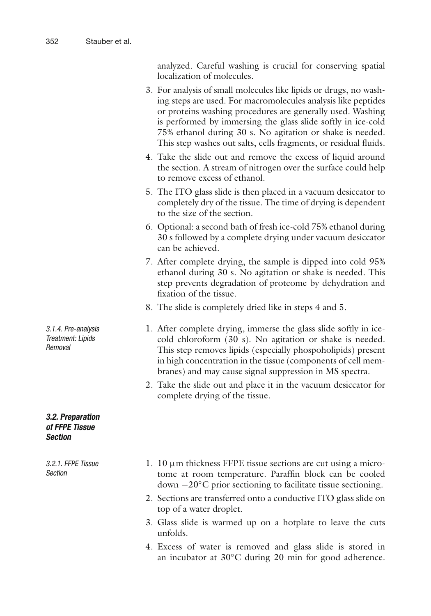analyzed. Careful washing is crucial for conserving spatial localization of molecules.

- 3. For analysis of small molecules like lipids or drugs, no washing steps are used. For macromolecules analysis like peptides or proteins washing procedures are generally used. Washing is performed by immersing the glass slide softly in ice-cold 75% ethanol during 30 s. No agitation or shake is needed. This step washes out salts, cells fragments, or residual fluids.
- 4. Take the slide out and remove the excess of liquid around the section. A stream of nitrogen over the surface could help to remove excess of ethanol.
- 5. The ITO glass slide is then placed in a vacuum desiccator to completely dry of the tissue. The time of drying is dependent to the size of the section.
- 6. Optional: a second bath of fresh ice-cold 75% ethanol during 30 s followed by a complete drying under vacuum desiccator can be achieved.
- 7. After complete drying, the sample is dipped into cold 95% ethanol during 30 s. No agitation or shake is needed. This step prevents degradation of proteome by dehydration and fixation of the tissue.
- 8. The slide is completely dried like in steps 4 and 5.
- 1. After complete drying, immerse the glass slide softly in icecold chloroform (30 s). No agitation or shake is needed. This step removes lipids (especially phospoholipids) present in high concentration in the tissue (components of cell membranes) and may cause signal suppression in MS spectra.
- 2. Take the slide out and place it in the vacuum desiccator for complete drying of the tissue.
- 1. 10 μm thickness FFPE tissue sections are cut using a microtome at room temperature. Paraffin block can be cooled down −20◦C prior sectioning to facilitate tissue sectioning.
- 2. Sections are transferred onto a conductive ITO glass slide on top of a water droplet.
- 3. Glass slide is warmed up on a hotplate to leave the cuts unfolds.
- 4. Excess of water is removed and glass slide is stored in an incubator at 30◦C during 20 min for good adherence.

3.1.4. Pre-analysis Treatment: Lipids Removal

**3.2. Preparation of FFPE Tissue Section**

3.2.1. FFPE Tissue Section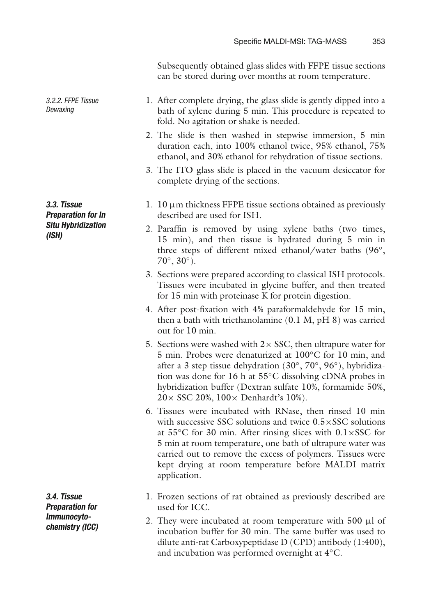Subsequently obtained glass slides with FFPE tissue sections can be stored during over months at room temperature. 3.2.2. FFPE Tissue **Dewaxing** 1. After complete drying, the glass slide is gently dipped into a bath of xylene during 5 min. This procedure is repeated to fold. No agitation or shake is needed. 2. The slide is then washed in stepwise immersion, 5 min duration each, into 100% ethanol twice, 95% ethanol, 75% ethanol, and 30% ethanol for rehydration of tissue sections. 3. The ITO glass slide is placed in the vacuum desiccator for complete drying of the sections. **3.3. Tissue Preparation for In Situ Hybridization (ISH)** 1. 10 μm thickness FFPE tissue sections obtained as previously described are used for ISH. 2. Paraffin is removed by using xylene baths (two times, 15 min), and then tissue is hydrated during 5 min in three steps of different mixed ethanol/water baths (96◦,  $70^\circ$ ,  $30^\circ$ ). 3. Sections were prepared according to classical ISH protocols. Tissues were incubated in glycine buffer, and then treated for 15 min with proteinase K for protein digestion. 4. After post-fixation with 4% paraformaldehyde for 15 min, then a bath with triethanolamine (0.1 M, pH 8) was carried out for 10 min. 5. Sections were washed with  $2 \times$  SSC, then ultrapure water for 5 min. Probes were denaturized at 100◦C for 10 min, and after a 3 step tissue dehydration  $(30^{\circ}, 70^{\circ}, 96^{\circ})$ , hybridization was done for 16 h at 55◦C dissolving cDNA probes in hybridization buffer (Dextran sulfate 10%, formamide 50%, 20× SSC 20%, 100× Denhardt's 10%). 6. Tissues were incubated with RNase, then rinsed 10 min with successive SSC solutions and twice  $0.5 \times$ SSC solutions at  $55^{\circ}$ C for 30 min. After rinsing slices with  $0.1 \times$ SSC for 5 min at room temperature, one bath of ultrapure water was carried out to remove the excess of polymers. Tissues were kept drying at room temperature before MALDI matrix application. **3.4. Tissue Preparation for Immunocytochemistry (ICC)** 1. Frozen sections of rat obtained as previously described are used for ICC. 2. They were incubated at room temperature with  $500 \mu l$  of incubation buffer for 30 min. The same buffer was used to dilute anti-rat Carboxypeptidase D (CPD) antibody (1:400),

and incubation was performed overnight at 4◦C.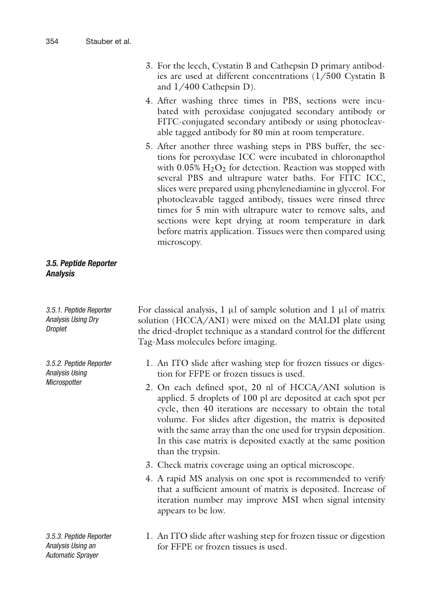- 3. For the leech, Cystatin B and Cathepsin D primary antibodies are used at different concentrations (1/500 Cystatin B and 1/400 Cathepsin D).
- 4. After washing three times in PBS, sections were incubated with peroxidase conjugated secondary antibody or FITC-conjugated secondary antibody or using photocleavable tagged antibody for 80 min at room temperature.
- 5. After another three washing steps in PBS buffer, the sections for peroxydase ICC were incubated in chloronapthol with  $0.05\%$  H<sub>2</sub>O<sub>2</sub> for detection. Reaction was stopped with several PBS and ultrapure water baths. For FITC ICC, slices were prepared using phenylenediamine in glycerol. For photocleavable tagged antibody, tissues were rinsed three times for 5 min with ultrapure water to remove salts, and sections were kept drying at room temperature in dark before matrix application. Tissues were then compared using microscopy.

**3.5. Peptide Reporter Analysis**

3.5.1. Peptide Reporter Analysis Using Dry Droplet

3.5.2. Peptide Reporter Analysis Using **Microspotter** 

For classical analysis,  $1 \mu l$  of sample solution and  $1 \mu l$  of matrix solution (HCCA/ANI) were mixed on the MALDI plate using the dried-droplet technique as a standard control for the different Tag-Mass molecules before imaging.

- 1. An ITO slide after washing step for frozen tissues or digestion for FFPE or frozen tissues is used.
- 2. On each defined spot, 20 nl of HCCA/ANI solution is applied. 5 droplets of 100 pl are deposited at each spot per cycle, then 40 iterations are necessary to obtain the total volume. For slides after digestion, the matrix is deposited with the same array than the one used for trypsin deposition. In this case matrix is deposited exactly at the same position than the trypsin.
- 3. Check matrix coverage using an optical microscope.
- 4. A rapid MS analysis on one spot is recommended to verify that a sufficient amount of matrix is deposited. Increase of iteration number may improve MSI when signal intensity appears to be low.
- 1. An ITO slide after washing step for frozen tissue or digestion for FFPE or frozen tissues is used.

3.5.3. Peptide Reporter Analysis Using an Automatic Sprayer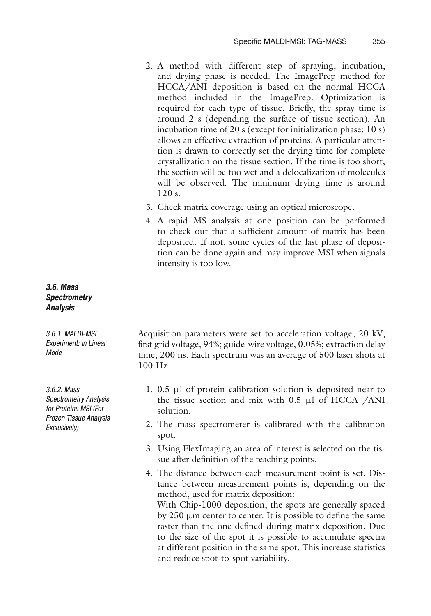- 2. A method with different step of spraying, incubation, and drying phase is needed. The ImagePrep method for HCCA/ANI deposition is based on the normal HCCA method included in the ImagePrep. Optimization is required for each type of tissue. Briefly, the spray time is around 2 s (depending the surface of tissue section). An incubation time of 20 s (except for initialization phase: 10 s) allows an effective extraction of proteins. A particular attention is drawn to correctly set the drying time for complete crystallization on the tissue section. If the time is too short, the section will be too wet and a delocalization of molecules will be observed. The minimum drying time is around 120 s.
- 3. Check matrix coverage using an optical microscope.
- 4. A rapid MS analysis at one position can be performed to check out that a sufficient amount of matrix has been deposited. If not, some cycles of the last phase of deposition can be done again and may improve MSI when signals intensity is too low.

**3.6. Mass Spectrometry Analysis**

3.6.1. MALDI-MSI Experiment: In Linear Mode Acquisition parameters were set to acceleration voltage, 20 kV; first grid voltage, 94%; guide-wire voltage, 0.05%; extraction delay time, 200 ns. Each spectrum was an average of 500 laser shots at 100 Hz. 3.6.2. Mass Spectrometry Analysis for Proteins MSI (For Frozen Tissue Analysis Exclusively) 1. 0.5 μl of protein calibration solution is deposited near to the tissue section and mix with  $0.5 \mu$ l of HCCA /ANI solution. 2. The mass spectrometer is calibrated with the calibration spot. 3. Using FlexImaging an area of interest is selected on the tissue after definition of the teaching points. 4. The distance between each measurement point is set. Distance between measurement points is, depending on the method, used for matrix deposition: With Chip-1000 deposition, the spots are generally spaced by 250 μm center to center. It is possible to define the same raster than the one defined during matrix deposition. Due to the size of the spot it is possible to accumulate spectra at different position in the same spot. This increase statistics and reduce spot-to-spot variability.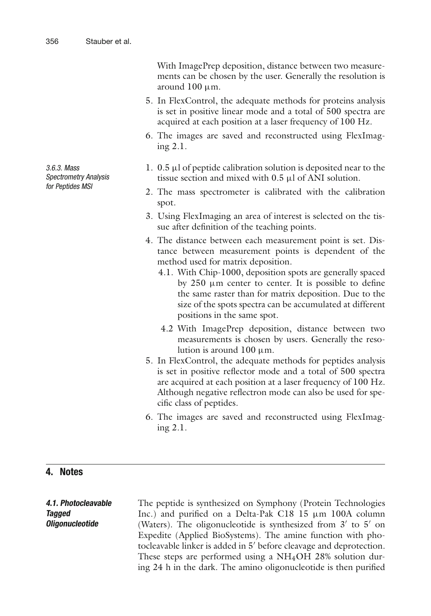With ImagePrep deposition, distance between two measurements can be chosen by the user. Generally the resolution is around 100 μm.

- 5. In FlexControl, the adequate methods for proteins analysis is set in positive linear mode and a total of 500 spectra are acquired at each position at a laser frequency of 100 Hz.
- 6. The images are saved and reconstructed using FlexImaging 2.1.
- 1. 0.5 μl of peptide calibration solution is deposited near to the tissue section and mixed with 0.5 μl of ANI solution.
- 2. The mass spectrometer is calibrated with the calibration spot.
- 3. Using FlexImaging an area of interest is selected on the tissue after definition of the teaching points.
- 4. The distance between each measurement point is set. Distance between measurement points is dependent of the method used for matrix deposition.
	- 4.1. With Chip-1000, deposition spots are generally spaced by 250 μm center to center. It is possible to define the same raster than for matrix deposition. Due to the size of the spots spectra can be accumulated at different positions in the same spot.
	- 4.2 With ImagePrep deposition, distance between two measurements is chosen by users. Generally the resolution is around 100 μm.
- 5. In FlexControl, the adequate methods for peptides analysis is set in positive reflector mode and a total of 500 spectra are acquired at each position at a laser frequency of 100 Hz. Although negative reflectron mode can also be used for specific class of peptides.
- 6. The images are saved and reconstructed using FlexImaging 2.1.

#### **4. Notes**

**4.1. Photocleavable Tagged Oligonucleotide**

The peptide is synthesized on Symphony (Protein Technologies Inc.) and purified on a Delta-Pak C18 15 μm 100A column (Waters). The oligonucleotide is synthesized from  $3'$  to  $5'$  on Expedite (Applied BioSystems). The amine function with photocleavable linker is added in 5' before cleavage and deprotection. These steps are performed using a  $NH<sub>4</sub>OH$  28% solution during 24 h in the dark. The amino oligonucleotide is then purified

3.6.3. Mass Spectrometry Analysis for Peptides MSI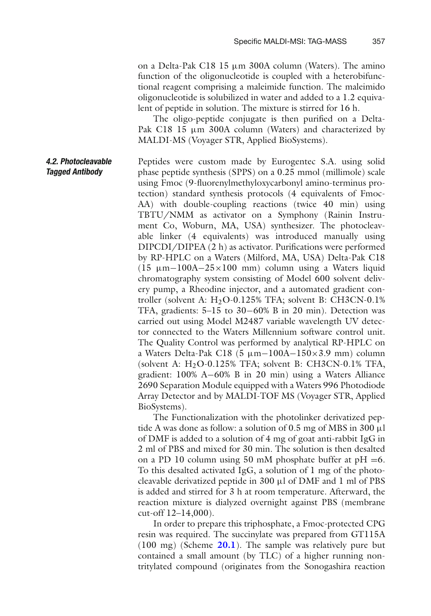on a Delta-Pak C18 15 μm 300A column (Waters). The amino function of the oligonucleotide is coupled with a heterobifunctional reagent comprising a maleimide function. The maleimido oligonucleotide is solubilized in water and added to a 1.2 equivalent of peptide in solution. The mixture is stirred for 16 h.

The oligo-peptide conjugate is then purified on a Delta-Pak C18 15 μm 300A column (Waters) and characterized by MALDI-MS (Voyager STR, Applied BioSystems).

Peptides were custom made by Eurogentec S.A. using solid phase peptide synthesis (SPPS) on a 0.25 mmol (millimole) scale using Fmoc (9-fluorenylmethyloxycarbonyl amino-terminus protection) standard synthesis protocols (4 equivalents of Fmoc-AA) with double-coupling reactions (twice 40 min) using TBTU/NMM as activator on a Symphony (Rainin Instrument Co, Woburn, MA, USA) synthesizer. The photocleavable linker (4 equivalents) was introduced manually using DIPCDI/DIPEA (2 h) as activator. Purifications were performed by RP-HPLC on a Waters (Milford, MA, USA) Delta-Pak C18 (15 μm−100A−25×100 mm) column using a Waters liquid chromatography system consisting of Model 600 solvent delivery pump, a Rheodine injector, and a automated gradient controller (solvent A:  $H<sub>2</sub>O-0.125%$  TFA; solvent B: CH3CN-0.1% TFA, gradients: 5–15 to 30−60% B in 20 min). Detection was carried out using Model M2487 variable wavelength UV detector connected to the Waters Millennium software control unit. The Quality Control was performed by analytical RP-HPLC on a Waters Delta-Pak C18 (5 μm−100A−150×3.9 mm) column (solvent A: H2O-0.125% TFA; solvent B: CH3CN-0.1% TFA, gradient: 100% A−60% B in 20 min) using a Waters Alliance 2690 Separation Module equipped with a Waters 996 Photodiode Array Detector and by MALDI-TOF MS (Voyager STR, Applied BioSystems).

The Functionalization with the photolinker derivatized peptide A was done as follow: a solution of 0.5 mg of MBS in 300 μl of DMF is added to a solution of 4 mg of goat anti-rabbit IgG in 2 ml of PBS and mixed for 30 min. The solution is then desalted on a PD 10 column using 50 mM phosphate buffer at  $pH = 6$ . To this desalted activated IgG, a solution of 1 mg of the photocleavable derivatized peptide in 300 μl of DMF and 1 ml of PBS is added and stirred for 3 h at room temperature. Afterward, the reaction mixture is dialyzed overnight against PBS (membrane cut-off 12–14,000).

In order to prepare this triphosphate, a Fmoc-protected CPG resin was required. The succinylate was prepared from GT115A (100 mg) (Scheme **[20.1](#page-19-0)**). The sample was relatively pure but contained a small amount (by TLC) of a higher running nontritylated compound (originates from the Sonogashira reaction

#### **4.2. Photocleavable Tagged Antibody**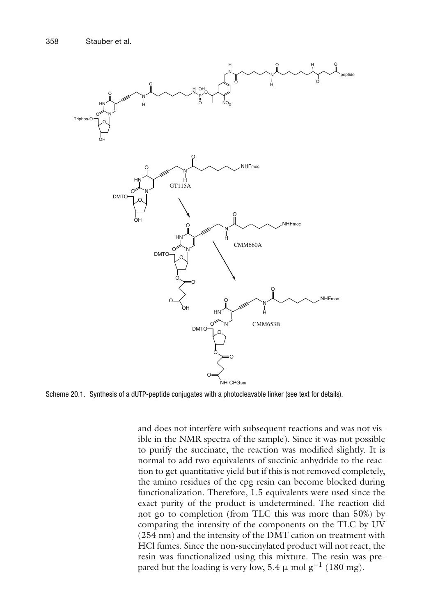

Scheme 20.1. Synthesis of a dUTP-peptide conjugates with a photocleavable linker (see text for details).

<span id="page-19-0"></span>and does not interfere with subsequent reactions and was not visible in the NMR spectra of the sample). Since it was not possible to purify the succinate, the reaction was modified slightly. It is normal to add two equivalents of succinic anhydride to the reaction to get quantitative yield but if this is not removed completely, the amino residues of the cpg resin can become blocked during functionalization. Therefore, 1.5 equivalents were used since the exact purity of the product is undetermined. The reaction did not go to completion (from TLC this was more than 50%) by comparing the intensity of the components on the TLC by UV (254 nm) and the intensity of the DMT cation on treatment with HCl fumes. Since the non-succinylated product will not react, the resin was functionalized using this mixture. The resin was prepared but the loading is very low, 5.4  $\mu$  mol g<sup>-1</sup> (180 mg).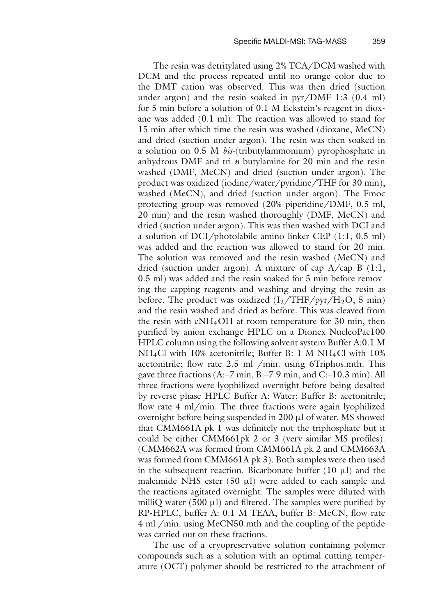The resin was detritylated using 2% TCA/DCM washed with DCM and the process repeated until no orange color due to the DMT cation was observed. This was then dried (suction under argon) and the resin soaked in pyr/DMF 1:3 (0.4 ml) for 5 min before a solution of 0.1 M Eckstein's reagent in dioxane was added (0.1 ml). The reaction was allowed to stand for 15 min after which time the resin was washed (dioxane, MeCN) and dried (suction under argon). The resin was then soaked in a solution on 0.5 M *bis*-(tributylammonium) pyrophosphate in anhydrous DMF and tri-*n*-butylamine for 20 min and the resin washed (DMF, MeCN) and dried (suction under argon). The product was oxidized (iodine/water/pyridine/THF for 30 min), washed (MeCN), and dried (suction under argon). The Fmoc protecting group was removed (20% piperidine/DMF, 0.5 ml, 20 min) and the resin washed thoroughly (DMF, MeCN) and dried (suction under argon). This was then washed with DCI and a solution of DCI/photolabile amino linker CEP (1:1, 0.5 ml) was added and the reaction was allowed to stand for 20 min. The solution was removed and the resin washed (MeCN) and dried (suction under argon). A mixture of cap A/cap B (1:1, 0.5 ml) was added and the resin soaked for 5 min before removing the capping reagents and washing and drying the resin as before. The product was oxidized  $(I_2/THF/pyr/H_2O, 5 min)$ and the resin washed and dried as before. This was cleaved from the resin with cNH4OH at room temperature for 30 min, then purified by anion exchange HPLC on a Dionex NucleoPac100 HPLC column using the following solvent system Buffer A:0.1 M NH<sub>4</sub>Cl with 10% acetonitrile; Buffer B: 1 M NH<sub>4</sub>Cl with 10% acetonitrile; flow rate 2.5 ml /min. using 6Triphos.mth. This gave three fractions (A:–7 min, B:–7.9 min, and C:–10.3 min). All three fractions were lyophilized overnight before being desalted by reverse phase HPLC Buffer A: Water; Buffer B: acetonitrile; flow rate 4 ml/min. The three fractions were again lyophilized overnight before being suspended in 200 μl of water. MS showed that CMM661A pk 1 was definitely not the triphosphate but it could be either CMM661pk 2 or 3 (very similar MS profiles). (CMM662A was formed from CMM661A pk 2 and CMM663A was formed from CMM661A pk 3). Both samples were then used in the subsequent reaction. Bicarbonate buffer  $(10 \mu l)$  and the maleimide NHS ester  $(50 \mu l)$  were added to each sample and the reactions agitated overnight. The samples were diluted with milliQ water (500  $\mu$ l) and filtered. The samples were purified by RP-HPLC, buffer A: 0.1 M TEAA, buffer B: MeCN, flow rate 4 ml /min. using MeCN50.mth and the coupling of the peptide was carried out on these fractions.

The use of a cryopreservative solution containing polymer compounds such as a solution with an optimal cutting temperature (OCT) polymer should be restricted to the attachment of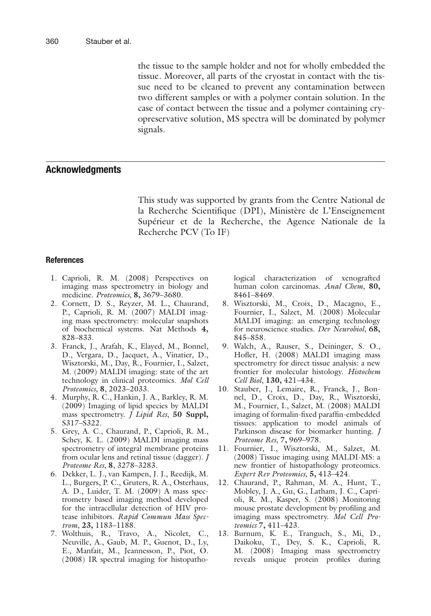the tissue to the sample holder and not for wholly embedded the tissue. Moreover, all parts of the cryostat in contact with the tissue need to be cleaned to prevent any contamination between two different samples or with a polymer contain solution. In the case of contact between the tissue and a polymer containing cryopreservative solution, MS spectra will be dominated by polymer signals.

## **Acknowledgments**

This study was supported by grants from the Centre National de la Recherche Scientifique (DPI), Ministère de L'Enseignement Supérieur et de la Recherche, the Agence Nationale de la Recherche PCV (To IF)

#### **References**

- 1. Caprioli, R. M. (2008) Perspectives on imaging mass spectrometry in biology and medicine. *Proteomics*, **8,** 3679–3680.
- <span id="page-21-0"></span>2. Cornett, D. S., Reyzer, M. L., Chaurand, P., Caprioli, R. M. (2007) MALDI imaging mass spectrometry: molecular snapshots of biochemical systems. Nat Methods **4,** 828–833.
- <span id="page-21-1"></span>3. Franck, J., Arafah, K., Elayed, M., Bonnel, D., Vergara, D., Jacquet, A., Vinatier, D., Wisztorski, M., Day, R., Fournier, I., Salzet, M. (2009) MALDI imaging: state of the art technology in clinical proteomics. *Mol Cell Proteomics*, **8**, 2023–2033.
- <span id="page-21-3"></span>4. Murphy, R. C., Hankin, J. A., Barkley, R. M. (2009) Imaging of lipid species by MALDI mass spectrometry. *J Lipid Res*, **50 Suppl,** S317–S322.
- <span id="page-21-2"></span>5. Grey, A. C., Chaurand, P., Caprioli, R. M., Schey, K. L. (2009) MALDI imaging mass spectrometry of integral membrane proteins from ocular lens and retinal tissue (dagger). *J Proteome Res*, **8**, 3278–3283.
- 6. Dekker, L. J., van Kampen, J. J., Reedijk, M. L., Burgers, P. C., Gruters, R. A., Osterhaus, A. D., Luider, T. M. (2009) A mass spectrometry based imaging method developed for the intracellular detection of HIV protease inhibitors. *Rapid Commun Mass Spectrom*, **23,** 1183–1188.
- 7. Wolthuis, R., Travo, A., Nicolet, C., Neuville, A., Gaub, M. P., Guenot, D., Ly, E., Manfait, M., Jeannesson, P., Piot, O. (2008) IR spectral imaging for histopatho-

logical characterization of xenografted human colon carcinomas. *Anal Chem*, **80,** 8461–8469.

- 8. Wisztorski, M., Croix, D., Macagno, E., Fournier, I., Salzet, M. (2008) Molecular MALDI imaging: an emerging technology for neuroscience studies. *Dev Neurobiol*, **68,** 845–858.
- 9. Walch, A., Rauser, S., Deininger, S. O., Hofler, H. (2008) MALDI imaging mass spectrometry for direct tissue analysis: a new frontier for molecular histology. *Histochem Cell Biol*, **130,** 421–434.
- <span id="page-21-4"></span>10. Stauber, J., Lemaire, R., Franck, J., Bonnel, D., Croix, D., Day, R., Wisztorski, M., Fournier, I., Salzet, M. (2008) MALDI imaging of formalin-fixed paraffin-embedded tissues: application to model animals of Parkinson disease for biomarker hunting. *J Proteome Res*, **7,** 969–978.
- 11. Fournier, I., Wisztorski, M., Salzet, M. (2008) Tissue imaging using MALDI-MS: a new frontier of histopathology proteomics. *Expert Rev Proteomics*, **5,** 413–424.
- 12. Chaurand, P., Rahman, M. A., Hunt, T., Mobley, J. A., Gu, G., Latham, J. C., Caprioli, R. M., Kasper, S. (2008) Monitoring mouse prostate development by profiling and imaging mass spectrometry. *Mol Cell Proteomics* **7,** 411–423.
- 13. Burnum, K. E., Tranguch, S., Mi, D., Daikoku, T., Dey, S. K., Caprioli, R. M. (2008) Imaging mass spectrometry reveals unique protein profiles during